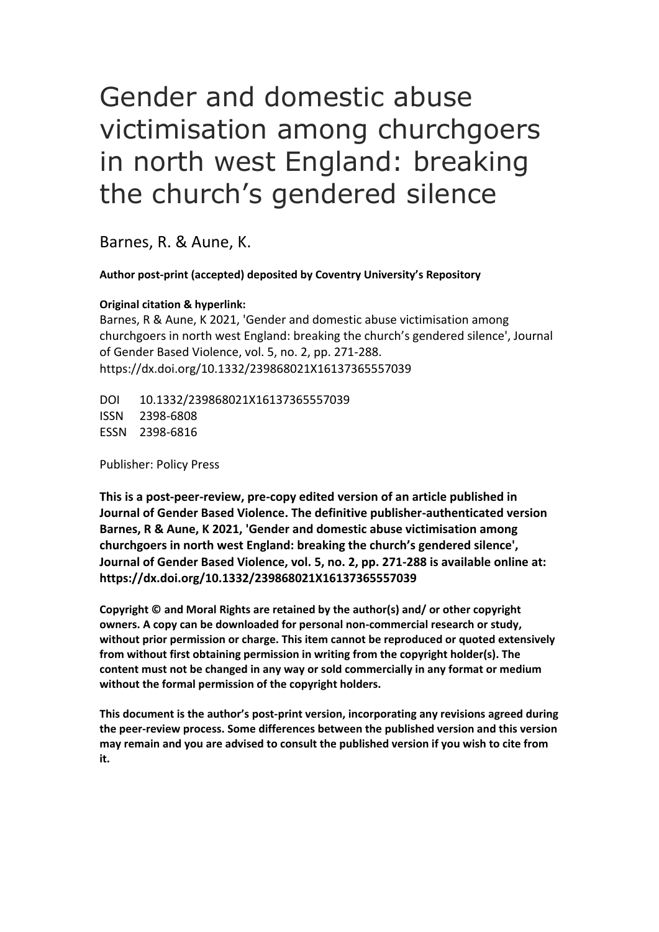# Gender and domestic abuse victimisation among churchgoers in north west England: breaking the church's gendered silence

Barnes, R. & Aune, K.

**Author post-print (accepted) deposited by Coventry University's Repository**

#### **Original citation & hyperlink:**

Barnes, R & Aune, K 2021, 'Gender and domestic abuse victimisation among churchgoers in north west England: breaking the church's gendered silence', Journal of Gender Based Violence, vol. 5, no. 2, pp. 271-288. https://dx.doi.org/10.1332/239868021X16137365557039

DOI 10.1332/239868021X16137365557039 ISSN 2398-6808 ESSN 2398-6816

Publisher: Policy Press

**This is a post-peer-review, pre-copy edited version of an article published in Journal of Gender Based Violence. The definitive publisher-authenticated version Barnes, R & Aune, K 2021, 'Gender and domestic abuse victimisation among churchgoers in north west England: breaking the church's gendered silence', Journal of Gender Based Violence, vol. 5, no. 2, pp. 271-288 is available online at: https://dx.doi.org/10.1332/239868021X16137365557039**

**Copyright © and Moral Rights are retained by the author(s) and/ or other copyright owners. A copy can be downloaded for personal non-commercial research or study, without prior permission or charge. This item cannot be reproduced or quoted extensively from without first obtaining permission in writing from the copyright holder(s). The content must not be changed in any way or sold commercially in any format or medium without the formal permission of the copyright holders.** 

**This document is the author's post-print version, incorporating any revisions agreed during the peer-review process. Some differences between the published version and this version may remain and you are advised to consult the published version if you wish to cite from it.**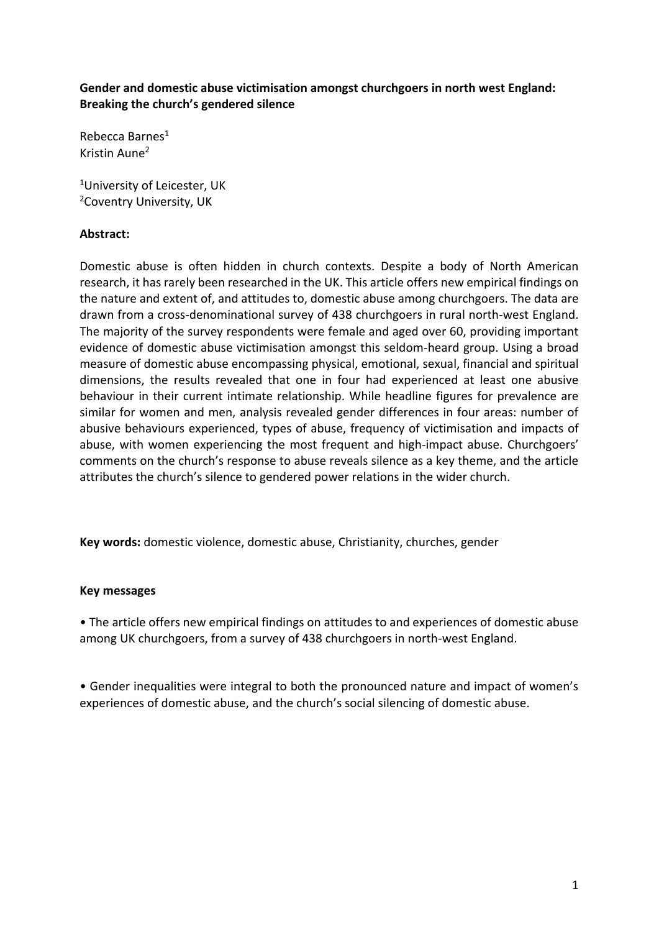**Gender and domestic abuse victimisation amongst churchgoers in north west England: Breaking the church's gendered silence**

Rebecca Barnes<sup>1</sup> Kristin Aune<sup>2</sup>

<sup>1</sup>University of Leicester, UK <sup>2</sup>Coventry University, UK

## **Abstract:**

Domestic abuse is often hidden in church contexts. Despite a body of North American research, it has rarely been researched in the UK. This article offers new empirical findings on the nature and extent of, and attitudes to, domestic abuse among churchgoers. The data are drawn from a cross-denominational survey of 438 churchgoers in rural north-west England. The majority of the survey respondents were female and aged over 60, providing important evidence of domestic abuse victimisation amongst this seldom-heard group. Using a broad measure of domestic abuse encompassing physical, emotional, sexual, financial and spiritual dimensions, the results revealed that one in four had experienced at least one abusive behaviour in their current intimate relationship. While headline figures for prevalence are similar for women and men, analysis revealed gender differences in four areas: number of abusive behaviours experienced, types of abuse, frequency of victimisation and impacts of abuse, with women experiencing the most frequent and high-impact abuse. Churchgoers' comments on the church's response to abuse reveals silence as a key theme, and the article attributes the church's silence to gendered power relations in the wider church.

**Key words:** domestic violence, domestic abuse, Christianity, churches, gender

#### **Key messages**

• The article offers new empirical findings on attitudes to and experiences of domestic abuse among UK churchgoers, from a survey of 438 churchgoers in north-west England.

• Gender inequalities were integral to both the pronounced nature and impact of women's experiences of domestic abuse, and the church's social silencing of domestic abuse.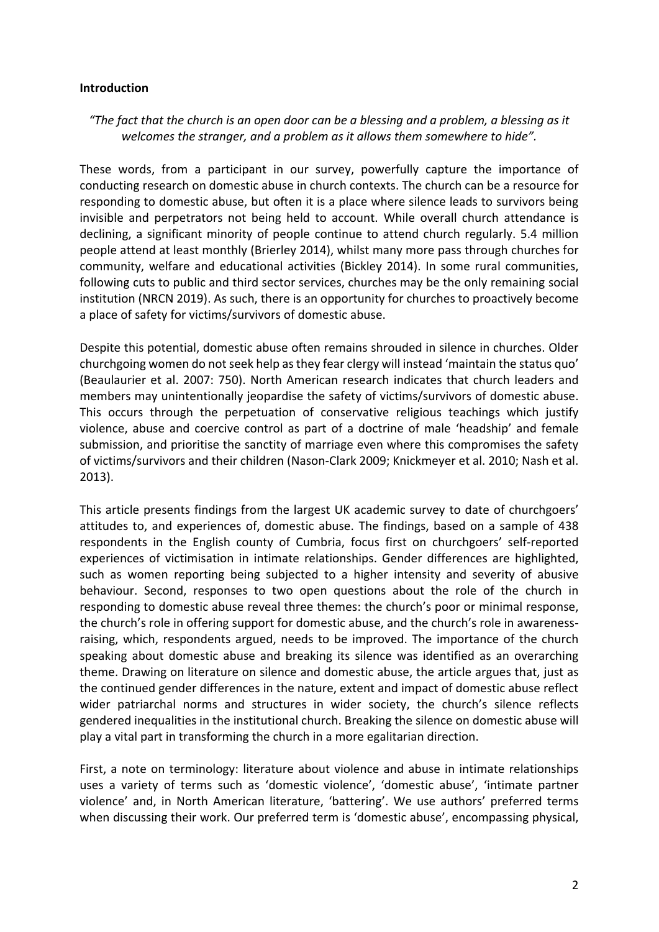#### **Introduction**

## *"The fact that the church is an open door can be a blessing and a problem, a blessing as it welcomes the stranger, and a problem as it allows them somewhere to hide".*

These words, from a participant in our survey, powerfully capture the importance of conducting research on domestic abuse in church contexts. The church can be a resource for responding to domestic abuse, but often it is a place where silence leads to survivors being invisible and perpetrators not being held to account. While overall church attendance is declining, a significant minority of people continue to attend church regularly. 5.4 million people attend at least monthly (Brierley 2014), whilst many more pass through churches for community, welfare and educational activities (Bickley 2014). In some rural communities, following cuts to public and third sector services, churches may be the only remaining social institution (NRCN 2019). As such, there is an opportunity for churches to proactively become a place of safety for victims/survivors of domestic abuse.

Despite this potential, domestic abuse often remains shrouded in silence in churches. Older churchgoing women do not seek help as they fear clergy will instead 'maintain the status quo' (Beaulaurier et al. 2007: 750). North American research indicates that church leaders and members may unintentionally jeopardise the safety of victims/survivors of domestic abuse. This occurs through the perpetuation of conservative religious teachings which justify violence, abuse and coercive control as part of a doctrine of male 'headship' and female submission, and prioritise the sanctity of marriage even where this compromises the safety of victims/survivors and their children (Nason-Clark 2009; Knickmeyer et al. 2010; Nash et al. 2013).

This article presents findings from the largest UK academic survey to date of churchgoers' attitudes to, and experiences of, domestic abuse. The findings, based on a sample of 438 respondents in the English county of Cumbria, focus first on churchgoers' self-reported experiences of victimisation in intimate relationships. Gender differences are highlighted, such as women reporting being subjected to a higher intensity and severity of abusive behaviour. Second, responses to two open questions about the role of the church in responding to domestic abuse reveal three themes: the church's poor or minimal response, the church's role in offering support for domestic abuse, and the church's role in awarenessraising, which, respondents argued, needs to be improved. The importance of the church speaking about domestic abuse and breaking its silence was identified as an overarching theme. Drawing on literature on silence and domestic abuse, the article argues that, just as the continued gender differences in the nature, extent and impact of domestic abuse reflect wider patriarchal norms and structures in wider society, the church's silence reflects gendered inequalities in the institutional church. Breaking the silence on domestic abuse will play a vital part in transforming the church in a more egalitarian direction.

First, a note on terminology: literature about violence and abuse in intimate relationships uses a variety of terms such as 'domestic violence', 'domestic abuse', 'intimate partner violence' and, in North American literature, 'battering'. We use authors' preferred terms when discussing their work. Our preferred term is 'domestic abuse', encompassing physical,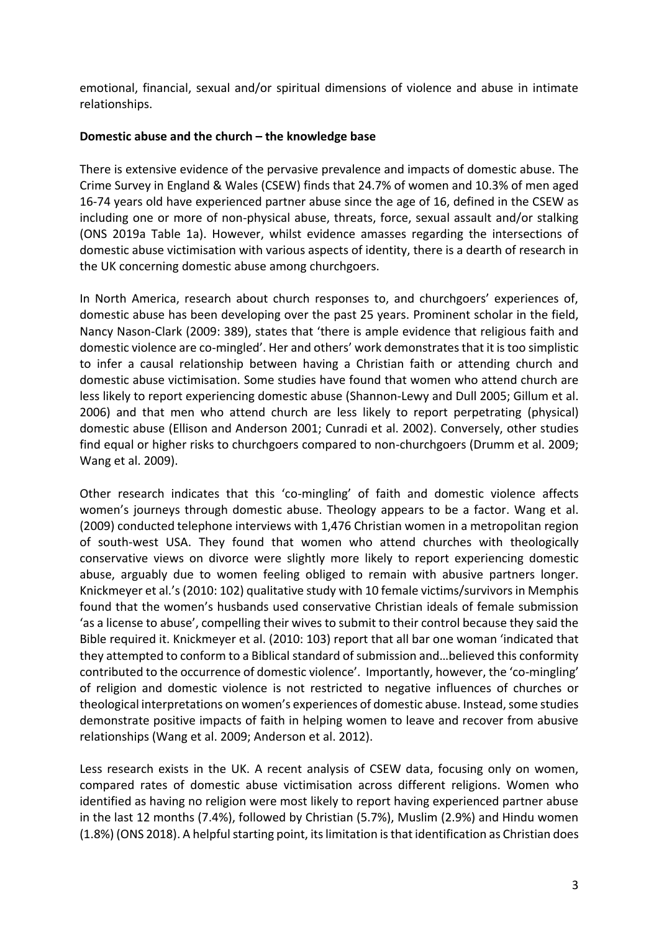emotional, financial, sexual and/or spiritual dimensions of violence and abuse in intimate relationships.

## **Domestic abuse and the church – the knowledge base**

There is extensive evidence of the pervasive prevalence and impacts of domestic abuse. The Crime Survey in England & Wales (CSEW) finds that 24.7% of women and 10.3% of men aged 16-74 years old have experienced partner abuse since the age of 16, defined in the CSEW as including one or more of non-physical abuse, threats, force, sexual assault and/or stalking (ONS 2019a Table 1a). However, whilst evidence amasses regarding the intersections of domestic abuse victimisation with various aspects of identity, there is a dearth of research in the UK concerning domestic abuse among churchgoers.

In North America, research about church responses to, and churchgoers' experiences of, domestic abuse has been developing over the past 25 years. Prominent scholar in the field, Nancy Nason-Clark (2009: 389), states that 'there is ample evidence that religious faith and domestic violence are co-mingled'. Her and others' work demonstrates that it istoo simplistic to infer a causal relationship between having a Christian faith or attending church and domestic abuse victimisation. Some studies have found that women who attend church are less likely to report experiencing domestic abuse (Shannon-Lewy and Dull 2005; Gillum et al. 2006) and that men who attend church are less likely to report perpetrating (physical) domestic abuse (Ellison and Anderson 2001; Cunradi et al. 2002). Conversely, other studies find equal or higher risks to churchgoers compared to non-churchgoers (Drumm et al. 2009; Wang et al. 2009).

Other research indicates that this 'co-mingling' of faith and domestic violence affects women's journeys through domestic abuse. Theology appears to be a factor. Wang et al. (2009) conducted telephone interviews with 1,476 Christian women in a metropolitan region of south-west USA. They found that women who attend churches with theologically conservative views on divorce were slightly more likely to report experiencing domestic abuse, arguably due to women feeling obliged to remain with abusive partners longer. Knickmeyer et al.'s (2010: 102) qualitative study with 10 female victims/survivors in Memphis found that the women's husbands used conservative Christian ideals of female submission 'as a license to abuse', compelling their wives to submit to their control because they said the Bible required it. Knickmeyer et al. (2010: 103) report that all bar one woman 'indicated that they attempted to conform to a Biblical standard of submission and…believed this conformity contributed to the occurrence of domestic violence'. Importantly, however, the 'co-mingling' of religion and domestic violence is not restricted to negative influences of churches or theological interpretations on women's experiences of domestic abuse. Instead, some studies demonstrate positive impacts of faith in helping women to leave and recover from abusive relationships (Wang et al. 2009; Anderson et al. 2012).

Less research exists in the UK. A recent analysis of CSEW data, focusing only on women, compared rates of domestic abuse victimisation across different religions. Women who identified as having no religion were most likely to report having experienced partner abuse in the last 12 months (7.4%), followed by Christian (5.7%), Muslim (2.9%) and Hindu women (1.8%) (ONS 2018). A helpful starting point, itslimitation is that identification as Christian does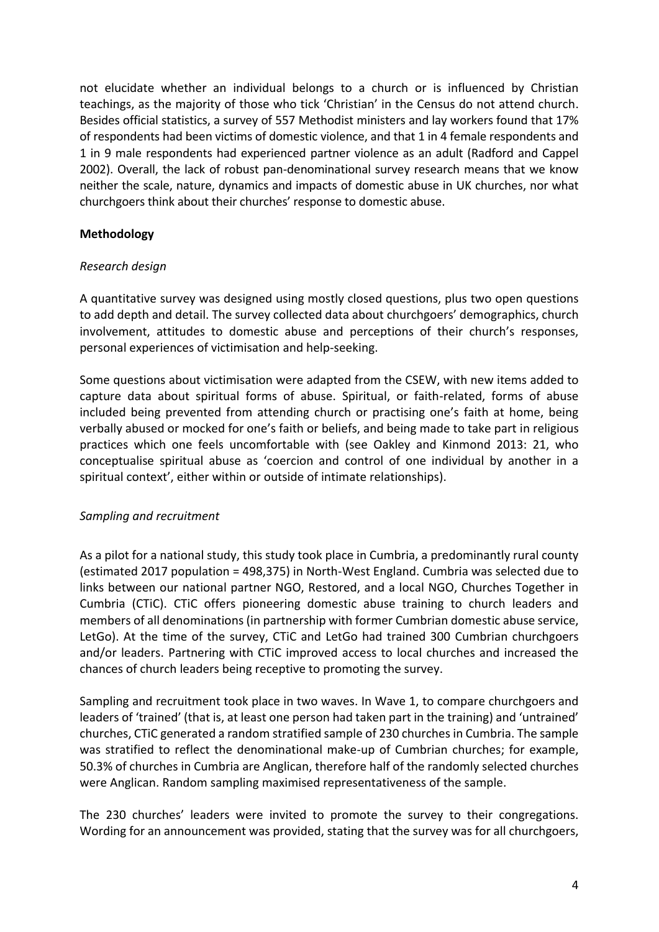not elucidate whether an individual belongs to a church or is influenced by Christian teachings, as the majority of those who tick 'Christian' in the Census do not attend church. Besides official statistics, a survey of 557 Methodist ministers and lay workers found that 17% of respondents had been victims of domestic violence, and that 1 in 4 female respondents and 1 in 9 male respondents had experienced partner violence as an adult (Radford and Cappel 2002). Overall, the lack of robust pan-denominational survey research means that we know neither the scale, nature, dynamics and impacts of domestic abuse in UK churches, nor what churchgoers think about their churches' response to domestic abuse.

#### **Methodology**

#### *Research design*

A quantitative survey was designed using mostly closed questions, plus two open questions to add depth and detail. The survey collected data about churchgoers' demographics, church involvement, attitudes to domestic abuse and perceptions of their church's responses, personal experiences of victimisation and help-seeking.

Some questions about victimisation were adapted from the CSEW, with new items added to capture data about spiritual forms of abuse. Spiritual, or faith-related, forms of abuse included being prevented from attending church or practising one's faith at home, being verbally abused or mocked for one's faith or beliefs, and being made to take part in religious practices which one feels uncomfortable with (see Oakley and Kinmond 2013: 21, who conceptualise spiritual abuse as 'coercion and control of one individual by another in a spiritual context', either within or outside of intimate relationships).

## *Sampling and recruitment*

As a pilot for a national study, this study took place in Cumbria, a predominantly rural county (estimated 2017 population = 498,375) in North-West England. Cumbria was selected due to links between our national partner NGO, Restored, and a local NGO, Churches Together in Cumbria (CTiC). CTiC offers pioneering domestic abuse training to church leaders and members of all denominations (in partnership with former Cumbrian domestic abuse service, LetGo). At the time of the survey, CTiC and LetGo had trained 300 Cumbrian churchgoers and/or leaders. Partnering with CTiC improved access to local churches and increased the chances of church leaders being receptive to promoting the survey.

Sampling and recruitment took place in two waves. In Wave 1, to compare churchgoers and leaders of 'trained' (that is, at least one person had taken part in the training) and 'untrained' churches, CTiC generated a random stratified sample of 230 churches in Cumbria. The sample was stratified to reflect the denominational make-up of Cumbrian churches; for example, 50.3% of churches in Cumbria are Anglican, therefore half of the randomly selected churches were Anglican. Random sampling maximised representativeness of the sample.

The 230 churches' leaders were invited to promote the survey to their congregations. Wording for an announcement was provided, stating that the survey was for all churchgoers,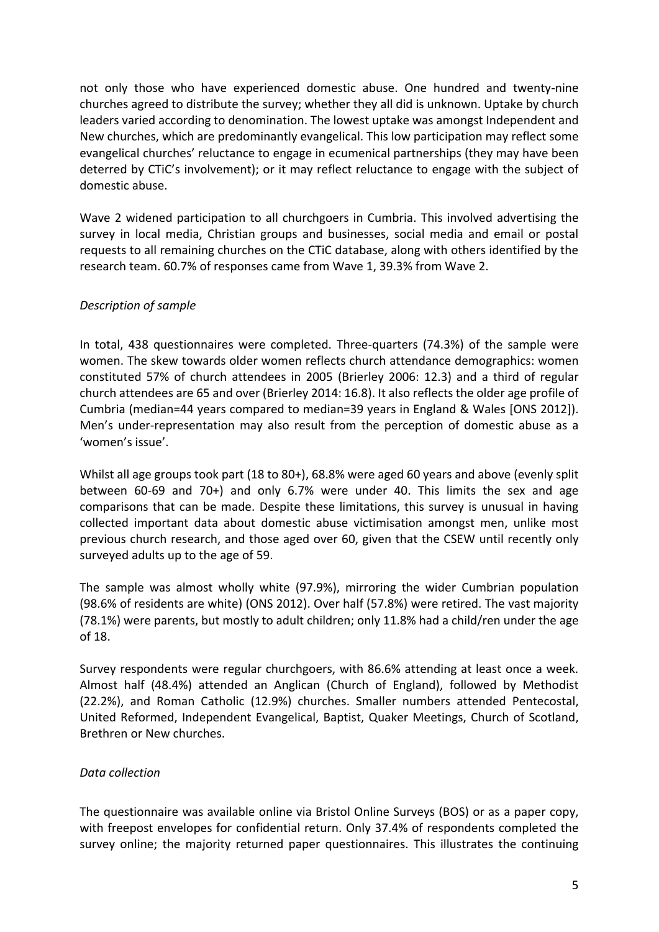not only those who have experienced domestic abuse. One hundred and twenty-nine churches agreed to distribute the survey; whether they all did is unknown. Uptake by church leaders varied according to denomination. The lowest uptake was amongst Independent and New churches, which are predominantly evangelical. This low participation may reflect some evangelical churches' reluctance to engage in ecumenical partnerships (they may have been deterred by CTiC's involvement); or it may reflect reluctance to engage with the subject of domestic abuse.

Wave 2 widened participation to all churchgoers in Cumbria. This involved advertising the survey in local media, Christian groups and businesses, social media and email or postal requests to all remaining churches on the CTiC database, along with others identified by the research team. 60.7% of responses came from Wave 1, 39.3% from Wave 2.

## *Description of sample*

In total, 438 questionnaires were completed. Three-quarters (74.3%) of the sample were women. The skew towards older women reflects church attendance demographics: women constituted 57% of church attendees in 2005 (Brierley 2006: 12.3) and a third of regular church attendees are 65 and over (Brierley 2014: 16.8). It also reflects the older age profile of Cumbria (median=44 years compared to median=39 years in England & Wales [ONS 2012]). Men's under-representation may also result from the perception of domestic abuse as a 'women's issue'.

Whilst all age groups took part (18 to 80+), 68.8% were aged 60 years and above (evenly split between 60-69 and 70+) and only 6.7% were under 40. This limits the sex and age comparisons that can be made. Despite these limitations, this survey is unusual in having collected important data about domestic abuse victimisation amongst men, unlike most previous church research, and those aged over 60, given that the CSEW until recently only surveyed adults up to the age of 59.

The sample was almost wholly white (97.9%), mirroring the wider Cumbrian population (98.6% of residents are white) (ONS 2012). Over half (57.8%) were retired. The vast majority (78.1%) were parents, but mostly to adult children; only 11.8% had a child/ren under the age of 18.

Survey respondents were regular churchgoers, with 86.6% attending at least once a week. Almost half (48.4%) attended an Anglican (Church of England), followed by Methodist (22.2%), and Roman Catholic (12.9%) churches. Smaller numbers attended Pentecostal, United Reformed, Independent Evangelical, Baptist, Quaker Meetings, Church of Scotland, Brethren or New churches.

#### *Data collection*

The questionnaire was available online via Bristol Online Surveys (BOS) or as a paper copy, with freepost envelopes for confidential return. Only 37.4% of respondents completed the survey online; the majority returned paper questionnaires. This illustrates the continuing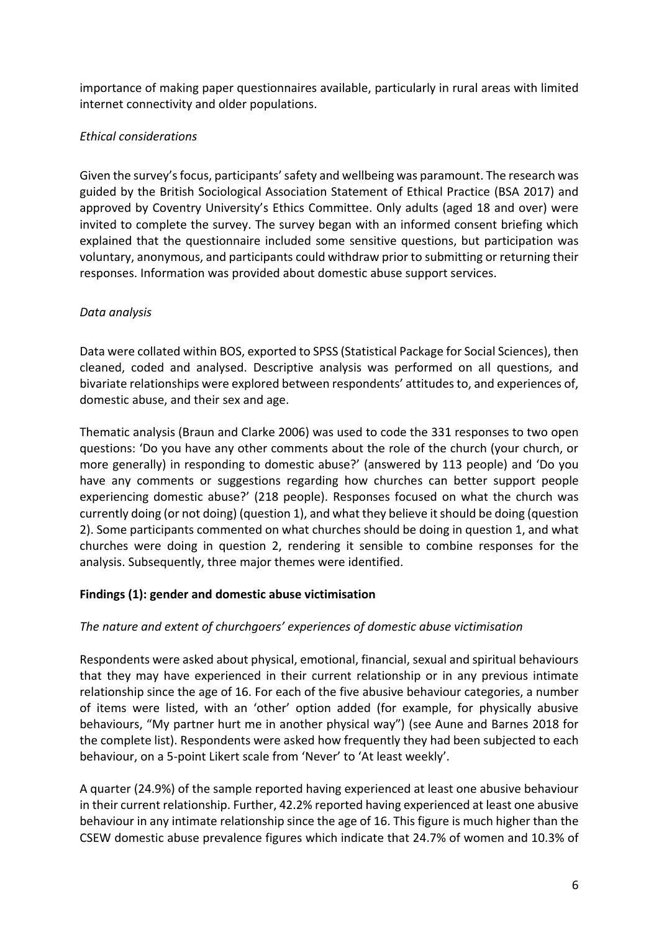importance of making paper questionnaires available, particularly in rural areas with limited internet connectivity and older populations.

# *Ethical considerations*

Given the survey's focus, participants' safety and wellbeing was paramount. The research was guided by the British Sociological Association Statement of Ethical Practice (BSA 2017) and approved by Coventry University's Ethics Committee. Only adults (aged 18 and over) were invited to complete the survey. The survey began with an informed consent briefing which explained that the questionnaire included some sensitive questions, but participation was voluntary, anonymous, and participants could withdraw prior to submitting or returning their responses. Information was provided about domestic abuse support services.

## *Data analysis*

Data were collated within BOS, exported to SPSS (Statistical Package for Social Sciences), then cleaned, coded and analysed. Descriptive analysis was performed on all questions, and bivariate relationships were explored between respondents' attitudes to, and experiences of, domestic abuse, and their sex and age.

Thematic analysis (Braun and Clarke 2006) was used to code the 331 responses to two open questions: 'Do you have any other comments about the role of the church (your church, or more generally) in responding to domestic abuse?' (answered by 113 people) and 'Do you have any comments or suggestions regarding how churches can better support people experiencing domestic abuse?' (218 people). Responses focused on what the church was currently doing (or not doing) (question 1), and what they believe it should be doing (question 2). Some participants commented on what churches should be doing in question 1, and what churches were doing in question 2, rendering it sensible to combine responses for the analysis. Subsequently, three major themes were identified.

## **Findings (1): gender and domestic abuse victimisation**

## *The nature and extent of churchgoers' experiences of domestic abuse victimisation*

Respondents were asked about physical, emotional, financial, sexual and spiritual behaviours that they may have experienced in their current relationship or in any previous intimate relationship since the age of 16. For each of the five abusive behaviour categories, a number of items were listed, with an 'other' option added (for example, for physically abusive behaviours, "My partner hurt me in another physical way") (see Aune and Barnes 2018 for the complete list). Respondents were asked how frequently they had been subjected to each behaviour, on a 5-point Likert scale from 'Never' to 'At least weekly'.

A quarter (24.9%) of the sample reported having experienced at least one abusive behaviour in their current relationship. Further, 42.2% reported having experienced at least one abusive behaviour in any intimate relationship since the age of 16. This figure is much higher than the CSEW domestic abuse prevalence figures which indicate that 24.7% of women and 10.3% of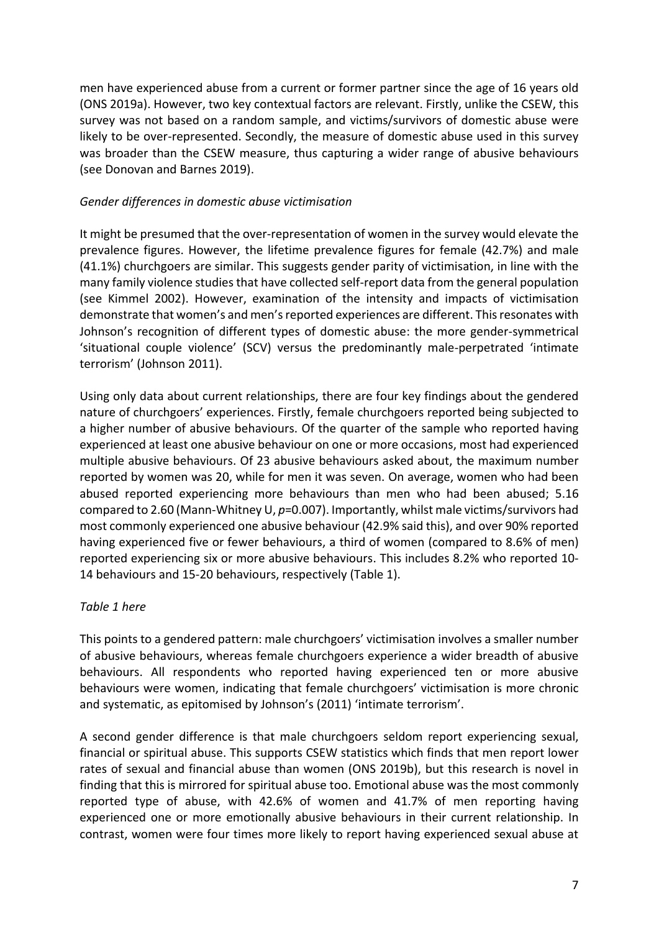men have experienced abuse from a current or former partner since the age of 16 years old (ONS 2019a). However, two key contextual factors are relevant. Firstly, unlike the CSEW, this survey was not based on a random sample, and victims/survivors of domestic abuse were likely to be over-represented. Secondly, the measure of domestic abuse used in this survey was broader than the CSEW measure, thus capturing a wider range of abusive behaviours (see Donovan and Barnes 2019).

#### *Gender differences in domestic abuse victimisation*

It might be presumed that the over-representation of women in the survey would elevate the prevalence figures. However, the lifetime prevalence figures for female (42.7%) and male (41.1%) churchgoers are similar. This suggests gender parity of victimisation, in line with the many family violence studies that have collected self-report data from the general population (see Kimmel 2002). However, examination of the intensity and impacts of victimisation demonstrate that women's and men's reported experiences are different. This resonates with Johnson's recognition of different types of domestic abuse: the more gender-symmetrical 'situational couple violence' (SCV) versus the predominantly male-perpetrated 'intimate terrorism' (Johnson 2011).

Using only data about current relationships, there are four key findings about the gendered nature of churchgoers' experiences. Firstly, female churchgoers reported being subjected to a higher number of abusive behaviours. Of the quarter of the sample who reported having experienced at least one abusive behaviour on one or more occasions, most had experienced multiple abusive behaviours. Of 23 abusive behaviours asked about, the maximum number reported by women was 20, while for men it was seven. On average, women who had been abused reported experiencing more behaviours than men who had been abused; 5.16 compared to 2.60 (Mann-Whitney U, p=0.007). Importantly, whilst male victims/survivors had most commonly experienced one abusive behaviour (42.9% said this), and over 90% reported having experienced five or fewer behaviours, a third of women (compared to 8.6% of men) reported experiencing six or more abusive behaviours. This includes 8.2% who reported 10- 14 behaviours and 15-20 behaviours, respectively (Table 1).

#### *Table 1 here*

This points to a gendered pattern: male churchgoers' victimisation involves a smaller number of abusive behaviours, whereas female churchgoers experience a wider breadth of abusive behaviours. All respondents who reported having experienced ten or more abusive behaviours were women, indicating that female churchgoers' victimisation is more chronic and systematic, as epitomised by Johnson's (2011) 'intimate terrorism'.

A second gender difference is that male churchgoers seldom report experiencing sexual, financial or spiritual abuse. This supports CSEW statistics which finds that men report lower rates of sexual and financial abuse than women (ONS 2019b), but this research is novel in finding that this is mirrored for spiritual abuse too. Emotional abuse was the most commonly reported type of abuse, with 42.6% of women and 41.7% of men reporting having experienced one or more emotionally abusive behaviours in their current relationship. In contrast, women were four times more likely to report having experienced sexual abuse at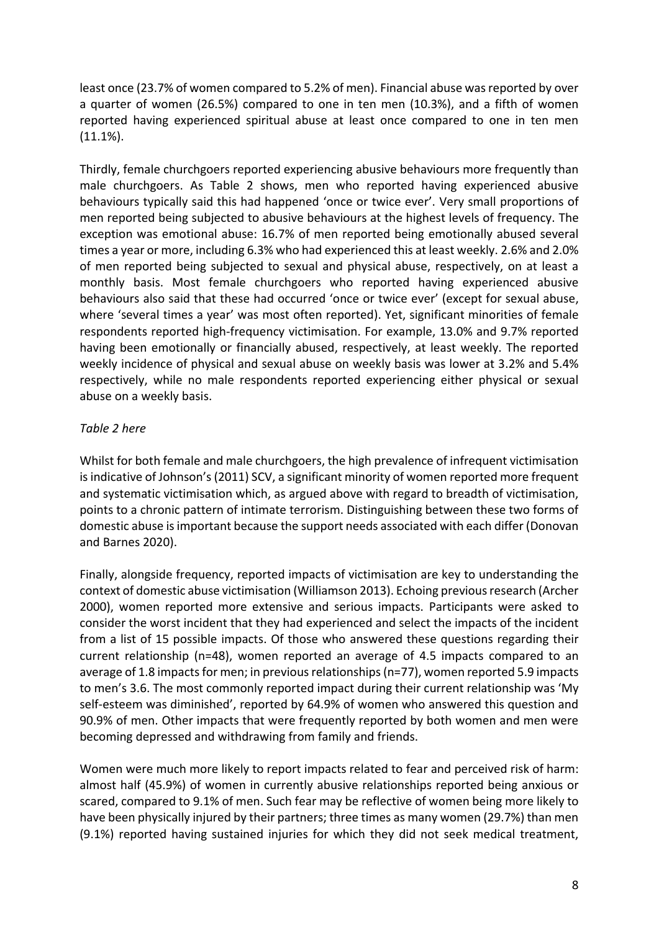least once (23.7% of women compared to 5.2% of men). Financial abuse was reported by over a quarter of women (26.5%) compared to one in ten men (10.3%), and a fifth of women reported having experienced spiritual abuse at least once compared to one in ten men (11.1%).

Thirdly, female churchgoers reported experiencing abusive behaviours more frequently than male churchgoers. As Table 2 shows, men who reported having experienced abusive behaviours typically said this had happened 'once or twice ever'. Very small proportions of men reported being subjected to abusive behaviours at the highest levels of frequency. The exception was emotional abuse: 16.7% of men reported being emotionally abused several times a year or more, including 6.3% who had experienced this at least weekly. 2.6% and 2.0% of men reported being subjected to sexual and physical abuse, respectively, on at least a monthly basis. Most female churchgoers who reported having experienced abusive behaviours also said that these had occurred 'once or twice ever' (except for sexual abuse, where 'several times a year' was most often reported). Yet, significant minorities of female respondents reported high-frequency victimisation. For example, 13.0% and 9.7% reported having been emotionally or financially abused, respectively, at least weekly. The reported weekly incidence of physical and sexual abuse on weekly basis was lower at 3.2% and 5.4% respectively, while no male respondents reported experiencing either physical or sexual abuse on a weekly basis.

## *Table 2 here*

Whilst for both female and male churchgoers, the high prevalence of infrequent victimisation is indicative of Johnson's (2011) SCV, a significant minority of women reported more frequent and systematic victimisation which, as argued above with regard to breadth of victimisation, points to a chronic pattern of intimate terrorism. Distinguishing between these two forms of domestic abuse is important because the support needs associated with each differ (Donovan and Barnes 2020).

Finally, alongside frequency, reported impacts of victimisation are key to understanding the context of domestic abuse victimisation (Williamson 2013). Echoing previous research (Archer 2000), women reported more extensive and serious impacts. Participants were asked to consider the worst incident that they had experienced and select the impacts of the incident from a list of 15 possible impacts. Of those who answered these questions regarding their current relationship (n=48), women reported an average of 4.5 impacts compared to an average of 1.8 impacts for men; in previous relationships(n=77), women reported 5.9 impacts to men's 3.6. The most commonly reported impact during their current relationship was 'My self-esteem was diminished', reported by 64.9% of women who answered this question and 90.9% of men. Other impacts that were frequently reported by both women and men were becoming depressed and withdrawing from family and friends.

Women were much more likely to report impacts related to fear and perceived risk of harm: almost half (45.9%) of women in currently abusive relationships reported being anxious or scared, compared to 9.1% of men. Such fear may be reflective of women being more likely to have been physically injured by their partners; three times as many women (29.7%) than men (9.1%) reported having sustained injuries for which they did not seek medical treatment,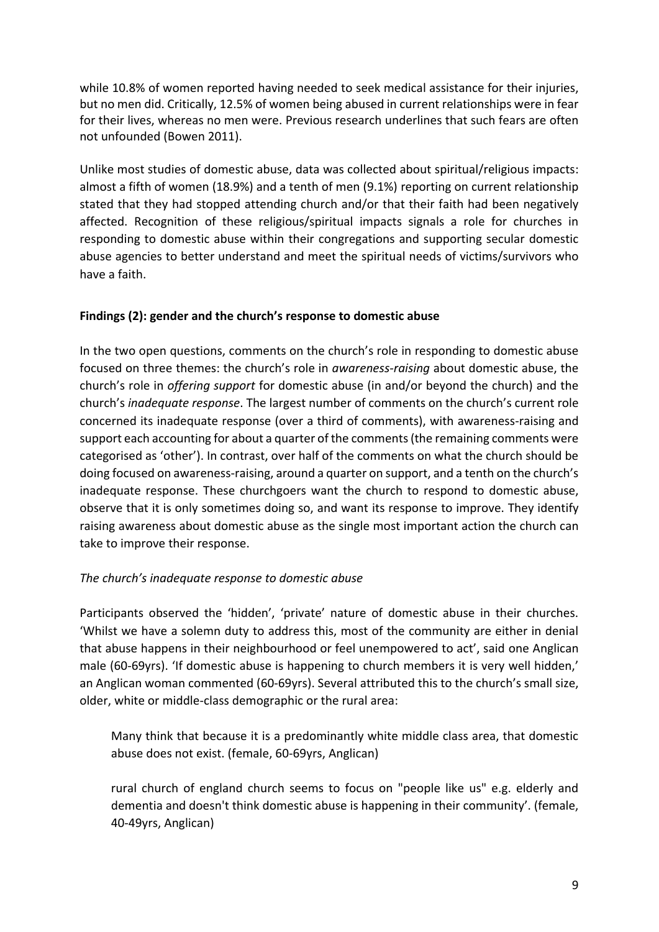while 10.8% of women reported having needed to seek medical assistance for their injuries, but no men did. Critically, 12.5% of women being abused in current relationships were in fear for their lives, whereas no men were. Previous research underlines that such fears are often not unfounded (Bowen 2011).

Unlike most studies of domestic abuse, data was collected about spiritual/religious impacts: almost a fifth of women (18.9%) and a tenth of men (9.1%) reporting on current relationship stated that they had stopped attending church and/or that their faith had been negatively affected. Recognition of these religious/spiritual impacts signals a role for churches in responding to domestic abuse within their congregations and supporting secular domestic abuse agencies to better understand and meet the spiritual needs of victims/survivors who have a faith.

## **Findings (2): gender and the church's response to domestic abuse**

In the two open questions, comments on the church's role in responding to domestic abuse focused on three themes: the church's role in *awareness-raising* about domestic abuse, the church's role in *offering support* for domestic abuse (in and/or beyond the church) and the church's *inadequate response*. The largest number of comments on the church's current role concerned its inadequate response (over a third of comments), with awareness-raising and support each accounting for about a quarter of the comments (the remaining comments were categorised as 'other'). In contrast, over half of the comments on what the church should be doing focused on awareness-raising, around a quarter on support, and a tenth on the church's inadequate response. These churchgoers want the church to respond to domestic abuse, observe that it is only sometimes doing so, and want its response to improve. They identify raising awareness about domestic abuse as the single most important action the church can take to improve their response.

## *The church's inadequate response to domestic abuse*

Participants observed the 'hidden', 'private' nature of domestic abuse in their churches. 'Whilst we have a solemn duty to address this, most of the community are either in denial that abuse happens in their neighbourhood or feel unempowered to act', said one Anglican male (60-69yrs). 'If domestic abuse is happening to church members it is very well hidden,' an Anglican woman commented (60-69yrs). Several attributed this to the church's small size, older, white or middle-class demographic or the rural area:

Many think that because it is a predominantly white middle class area, that domestic abuse does not exist. (female, 60-69yrs, Anglican)

rural church of england church seems to focus on "people like us" e.g. elderly and dementia and doesn't think domestic abuse is happening in their community'. (female, 40-49yrs, Anglican)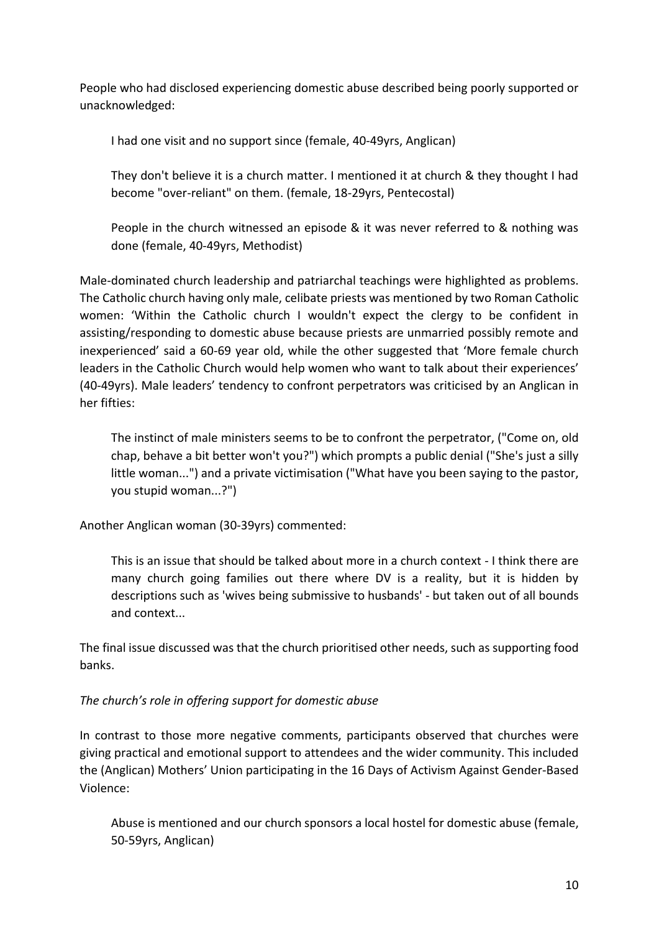People who had disclosed experiencing domestic abuse described being poorly supported or unacknowledged:

I had one visit and no support since (female, 40-49yrs, Anglican)

They don't believe it is a church matter. I mentioned it at church & they thought I had become "over-reliant" on them. (female, 18-29yrs, Pentecostal)

People in the church witnessed an episode & it was never referred to & nothing was done (female, 40-49yrs, Methodist)

Male-dominated church leadership and patriarchal teachings were highlighted as problems. The Catholic church having only male, celibate priests was mentioned by two Roman Catholic women: 'Within the Catholic church I wouldn't expect the clergy to be confident in assisting/responding to domestic abuse because priests are unmarried possibly remote and inexperienced' said a 60-69 year old, while the other suggested that 'More female church leaders in the Catholic Church would help women who want to talk about their experiences' (40-49yrs). Male leaders' tendency to confront perpetrators was criticised by an Anglican in her fifties:

The instinct of male ministers seems to be to confront the perpetrator, ("Come on, old chap, behave a bit better won't you?") which prompts a public denial ("She's just a silly little woman...") and a private victimisation ("What have you been saying to the pastor, you stupid woman...?")

Another Anglican woman (30-39yrs) commented:

This is an issue that should be talked about more in a church context - I think there are many church going families out there where DV is a reality, but it is hidden by descriptions such as 'wives being submissive to husbands' - but taken out of all bounds and context...

The final issue discussed was that the church prioritised other needs, such as supporting food banks.

## *The church's role in offering support for domestic abuse*

In contrast to those more negative comments, participants observed that churches were giving practical and emotional support to attendees and the wider community. This included the (Anglican) Mothers' Union participating in the 16 Days of Activism Against Gender-Based Violence:

Abuse is mentioned and our church sponsors a local hostel for domestic abuse (female, 50-59yrs, Anglican)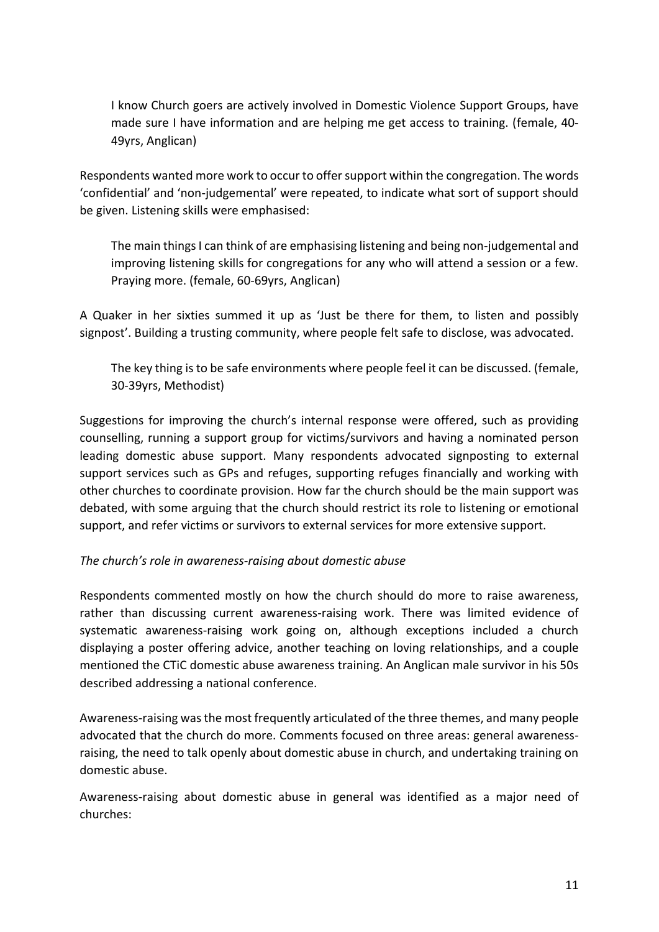I know Church goers are actively involved in Domestic Violence Support Groups, have made sure I have information and are helping me get access to training. (female, 40- 49yrs, Anglican)

Respondents wanted more work to occur to offer support within the congregation. The words 'confidential' and 'non-judgemental' were repeated, to indicate what sort of support should be given. Listening skills were emphasised:

The main things I can think of are emphasising listening and being non-judgemental and improving listening skills for congregations for any who will attend a session or a few. Praying more. (female, 60-69yrs, Anglican)

A Quaker in her sixties summed it up as 'Just be there for them, to listen and possibly signpost'. Building a trusting community, where people felt safe to disclose, was advocated.

The key thing is to be safe environments where people feel it can be discussed. (female, 30-39yrs, Methodist)

Suggestions for improving the church's internal response were offered, such as providing counselling, running a support group for victims/survivors and having a nominated person leading domestic abuse support. Many respondents advocated signposting to external support services such as GPs and refuges, supporting refuges financially and working with other churches to coordinate provision. How far the church should be the main support was debated, with some arguing that the church should restrict its role to listening or emotional support, and refer victims or survivors to external services for more extensive support.

## *The church's role in awareness-raising about domestic abuse*

Respondents commented mostly on how the church should do more to raise awareness, rather than discussing current awareness-raising work. There was limited evidence of systematic awareness-raising work going on, although exceptions included a church displaying a poster offering advice, another teaching on loving relationships, and a couple mentioned the CTiC domestic abuse awareness training. An Anglican male survivor in his 50s described addressing a national conference.

Awareness-raising was the most frequently articulated of the three themes, and many people advocated that the church do more. Comments focused on three areas: general awarenessraising, the need to talk openly about domestic abuse in church, and undertaking training on domestic abuse.

Awareness-raising about domestic abuse in general was identified as a major need of churches: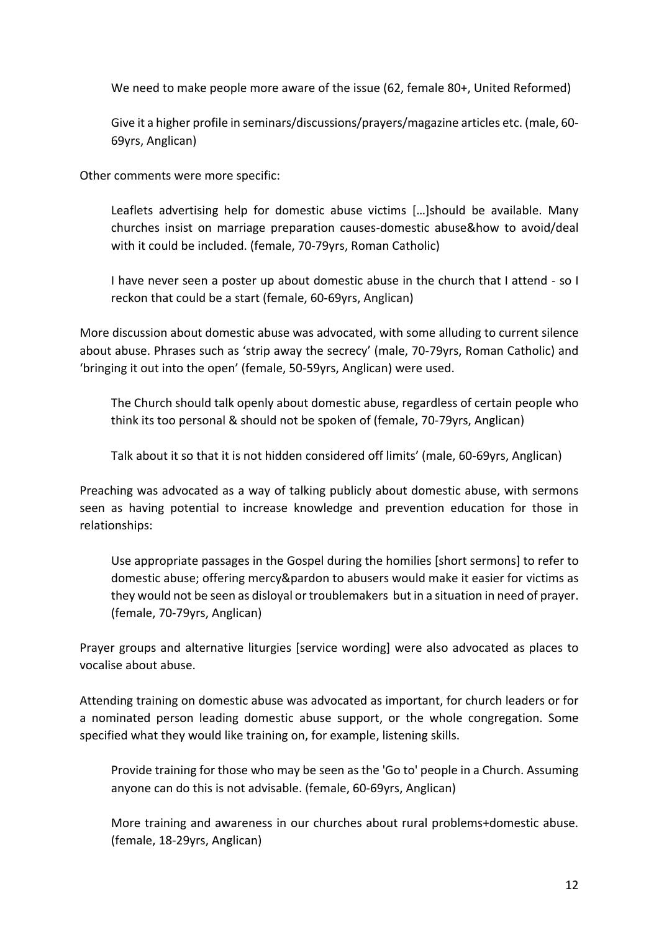We need to make people more aware of the issue (62, female 80+, United Reformed)

Give it a higher profile in seminars/discussions/prayers/magazine articles etc. (male, 60- 69yrs, Anglican)

Other comments were more specific:

Leaflets advertising help for domestic abuse victims […]should be available. Many churches insist on marriage preparation causes-domestic abuse&how to avoid/deal with it could be included. (female, 70-79yrs, Roman Catholic)

I have never seen a poster up about domestic abuse in the church that I attend - so I reckon that could be a start (female, 60-69yrs, Anglican)

More discussion about domestic abuse was advocated, with some alluding to current silence about abuse. Phrases such as 'strip away the secrecy' (male, 70-79yrs, Roman Catholic) and 'bringing it out into the open' (female, 50-59yrs, Anglican) were used.

The Church should talk openly about domestic abuse, regardless of certain people who think its too personal & should not be spoken of (female, 70-79yrs, Anglican)

Talk about it so that it is not hidden considered off limits' (male, 60-69yrs, Anglican)

Preaching was advocated as a way of talking publicly about domestic abuse, with sermons seen as having potential to increase knowledge and prevention education for those in relationships:

Use appropriate passages in the Gospel during the homilies [short sermons] to refer to domestic abuse; offering mercy&pardon to abusers would make it easier for victims as they would not be seen as disloyal or troublemakers but in a situation in need of prayer. (female, 70-79yrs, Anglican)

Prayer groups and alternative liturgies [service wording] were also advocated as places to vocalise about abuse.

Attending training on domestic abuse was advocated as important, for church leaders or for a nominated person leading domestic abuse support, or the whole congregation. Some specified what they would like training on, for example, listening skills.

Provide training for those who may be seen as the 'Go to' people in a Church. Assuming anyone can do this is not advisable. (female, 60-69yrs, Anglican)

More training and awareness in our churches about rural problems+domestic abuse. (female, 18-29yrs, Anglican)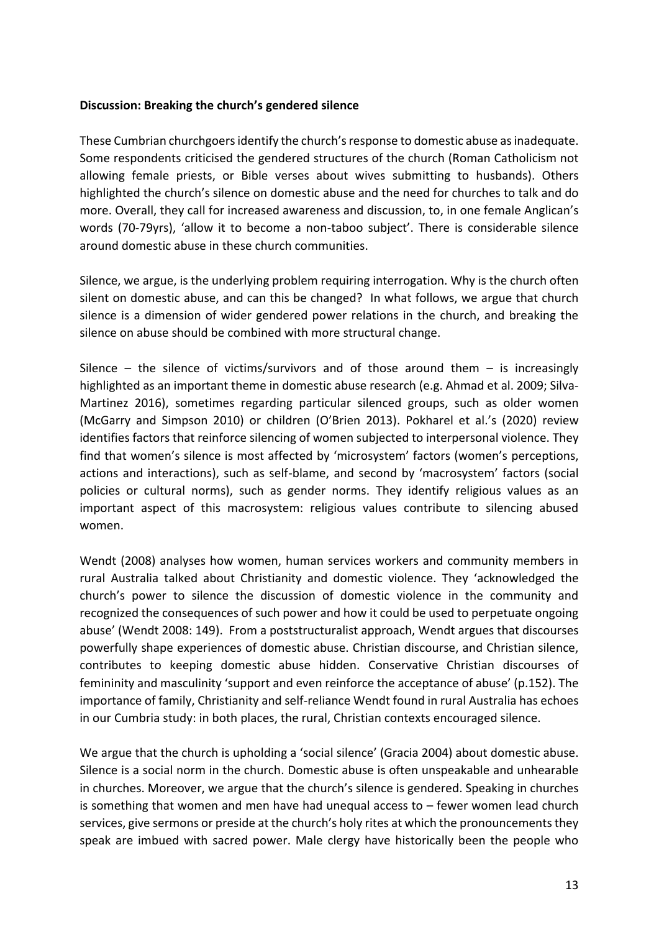#### **Discussion: Breaking the church's gendered silence**

These Cumbrian churchgoersidentify the church's response to domestic abuse as inadequate. Some respondents criticised the gendered structures of the church (Roman Catholicism not allowing female priests, or Bible verses about wives submitting to husbands). Others highlighted the church's silence on domestic abuse and the need for churches to talk and do more. Overall, they call for increased awareness and discussion, to, in one female Anglican's words (70-79yrs), 'allow it to become a non-taboo subject'. There is considerable silence around domestic abuse in these church communities.

Silence, we argue, is the underlying problem requiring interrogation. Why is the church often silent on domestic abuse, and can this be changed? In what follows, we argue that church silence is a dimension of wider gendered power relations in the church, and breaking the silence on abuse should be combined with more structural change.

Silence – the silence of victims/survivors and of those around them – is increasingly highlighted as an important theme in domestic abuse research (e.g. Ahmad et al. 2009; Silva-Martinez 2016), sometimes regarding particular silenced groups, such as older women (McGarry and Simpson 2010) or children (O'Brien 2013). Pokharel et al.'s (2020) review identifies factors that reinforce silencing of women subjected to interpersonal violence. They find that women's silence is most affected by 'microsystem' factors (women's perceptions, actions and interactions), such as self-blame, and second by 'macrosystem' factors (social policies or cultural norms), such as gender norms. They identify religious values as an important aspect of this macrosystem: religious values contribute to silencing abused women.

Wendt (2008) analyses how women, human services workers and community members in rural Australia talked about Christianity and domestic violence. They 'acknowledged the church's power to silence the discussion of domestic violence in the community and recognized the consequences of such power and how it could be used to perpetuate ongoing abuse' (Wendt 2008: 149). From a poststructuralist approach, Wendt argues that discourses powerfully shape experiences of domestic abuse. Christian discourse, and Christian silence, contributes to keeping domestic abuse hidden. Conservative Christian discourses of femininity and masculinity 'support and even reinforce the acceptance of abuse' (p.152). The importance of family, Christianity and self-reliance Wendt found in rural Australia has echoes in our Cumbria study: in both places, the rural, Christian contexts encouraged silence.

We argue that the church is upholding a 'social silence' (Gracia 2004) about domestic abuse. Silence is a social norm in the church. Domestic abuse is often unspeakable and unhearable in churches. Moreover, we argue that the church's silence is gendered. Speaking in churches is something that women and men have had unequal access to – fewer women lead church services, give sermons or preside at the church's holy rites at which the pronouncements they speak are imbued with sacred power. Male clergy have historically been the people who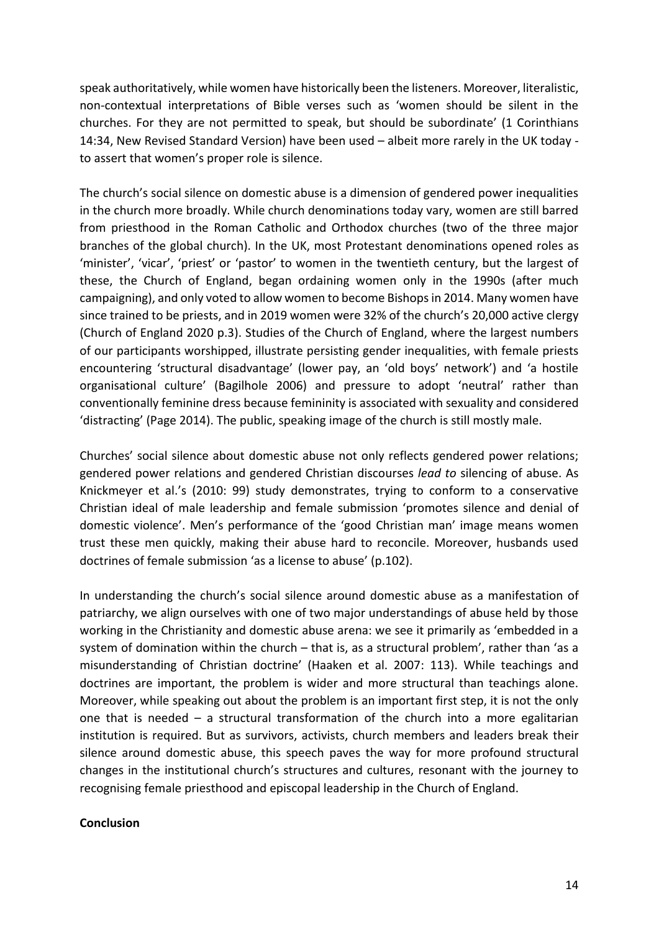speak authoritatively, while women have historically been the listeners. Moreover, literalistic, non-contextual interpretations of Bible verses such as 'women should be silent in the churches. For they are not permitted to speak, but should be subordinate' (1 Corinthians 14:34, New Revised Standard Version) have been used – albeit more rarely in the UK today to assert that women's proper role is silence.

The church's social silence on domestic abuse is a dimension of gendered power inequalities in the church more broadly. While church denominations today vary, women are still barred from priesthood in the Roman Catholic and Orthodox churches (two of the three major branches of the global church). In the UK, most Protestant denominations opened roles as 'minister', 'vicar', 'priest' or 'pastor' to women in the twentieth century, but the largest of these, the Church of England, began ordaining women only in the 1990s (after much campaigning), and only voted to allow women to become Bishops in 2014. Many women have since trained to be priests, and in 2019 women were 32% of the church's 20,000 active clergy (Church of England 2020 p.3). Studies of the Church of England, where the largest numbers of our participants worshipped, illustrate persisting gender inequalities, with female priests encountering 'structural disadvantage' (lower pay, an 'old boys' network') and 'a hostile organisational culture' (Bagilhole 2006) and pressure to adopt 'neutral' rather than conventionally feminine dress because femininity is associated with sexuality and considered 'distracting' (Page 2014). The public, speaking image of the church is still mostly male.

Churches' social silence about domestic abuse not only reflects gendered power relations; gendered power relations and gendered Christian discourses *lead to* silencing of abuse. As Knickmeyer et al.'s (2010: 99) study demonstrates, trying to conform to a conservative Christian ideal of male leadership and female submission 'promotes silence and denial of domestic violence'. Men's performance of the 'good Christian man' image means women trust these men quickly, making their abuse hard to reconcile. Moreover, husbands used doctrines of female submission 'as a license to abuse' (p.102).

In understanding the church's social silence around domestic abuse as a manifestation of patriarchy, we align ourselves with one of two major understandings of abuse held by those working in the Christianity and domestic abuse arena: we see it primarily as 'embedded in a system of domination within the church – that is, as a structural problem', rather than 'as a misunderstanding of Christian doctrine' (Haaken et al. 2007: 113). While teachings and doctrines are important, the problem is wider and more structural than teachings alone. Moreover, while speaking out about the problem is an important first step, it is not the only one that is needed – a structural transformation of the church into a more egalitarian institution is required. But as survivors, activists, church members and leaders break their silence around domestic abuse, this speech paves the way for more profound structural changes in the institutional church's structures and cultures, resonant with the journey to recognising female priesthood and episcopal leadership in the Church of England.

#### **Conclusion**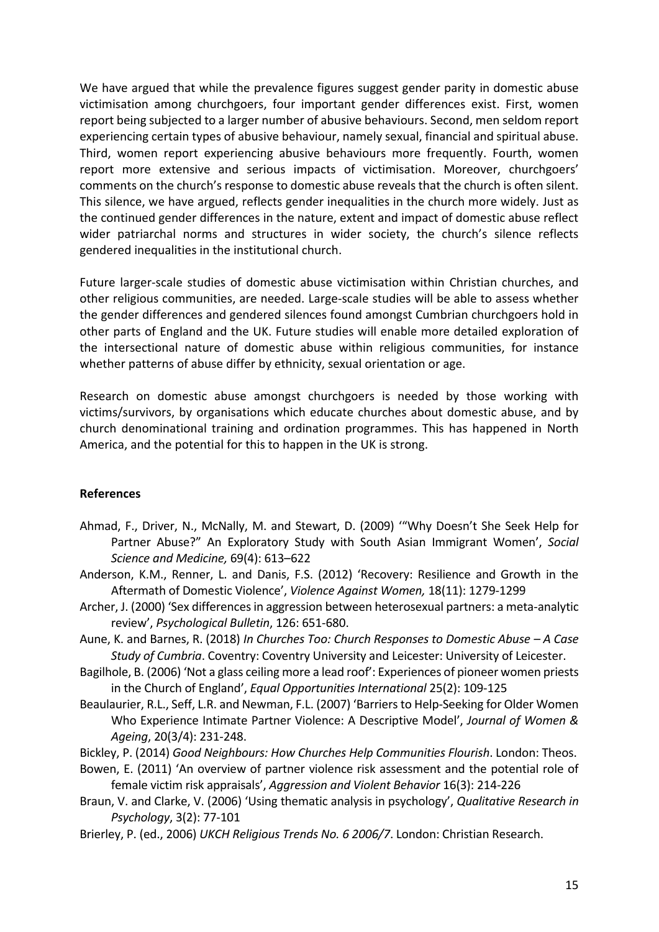We have argued that while the prevalence figures suggest gender parity in domestic abuse victimisation among churchgoers, four important gender differences exist. First, women report being subjected to a larger number of abusive behaviours. Second, men seldom report experiencing certain types of abusive behaviour, namely sexual, financial and spiritual abuse. Third, women report experiencing abusive behaviours more frequently. Fourth, women report more extensive and serious impacts of victimisation. Moreover, churchgoers' comments on the church's response to domestic abuse reveals that the church is often silent. This silence, we have argued, reflects gender inequalities in the church more widely. Just as the continued gender differences in the nature, extent and impact of domestic abuse reflect wider patriarchal norms and structures in wider society, the church's silence reflects gendered inequalities in the institutional church.

Future larger-scale studies of domestic abuse victimisation within Christian churches, and other religious communities, are needed. Large-scale studies will be able to assess whether the gender differences and gendered silences found amongst Cumbrian churchgoers hold in other parts of England and the UK. Future studies will enable more detailed exploration of the intersectional nature of domestic abuse within religious communities, for instance whether patterns of abuse differ by ethnicity, sexual orientation or age.

Research on domestic abuse amongst churchgoers is needed by those working with victims/survivors, by organisations which educate churches about domestic abuse, and by church denominational training and ordination programmes. This has happened in North America, and the potential for this to happen in the UK is strong.

#### **References**

- Ahmad, F., Driver, N., McNally, M. and Stewart, D. (2009) '"Why Doesn't She Seek Help for Partner Abuse?" An Exploratory Study with South Asian Immigrant Women', *Social Science and Medicine,* 69(4): 613–622
- Anderson, K.M., Renner, L. and Danis, F.S. (2012) 'Recovery: Resilience and Growth in the Aftermath of Domestic Violence', *Violence Against Women,* 18(11): 1279-1299
- Archer, J. (2000) 'Sex differences in aggression between heterosexual partners: a meta-analytic review', *Psychological Bulletin*, 126: 651-680.
- Aune, K. and Barnes, R. (2018) *In Churches Too: Church Responses to Domestic Abuse – A Case Study of Cumbria*. Coventry: Coventry University and Leicester: University of Leicester.
- Bagilhole, B. (2006) 'Not a glass ceiling more a lead roof': Experiences of pioneer women priests in the Church of England', *Equal Opportunities International* 25(2): 109-125
- Beaulaurier, R.L., Seff, L.R. and Newman, F.L. (2007) 'Barriers to Help-Seeking for Older Women Who Experience Intimate Partner Violence: A Descriptive Model', *Journal of Women & Ageing*, 20(3/4): 231-248.
- Bickley, P. (2014) *Good Neighbours: How Churches Help Communities Flourish*. London: Theos.
- Bowen, E. (2011) 'An overview of partner violence risk assessment and the potential role of female victim risk appraisals', *Aggression and Violent Behavior* 16(3): 214-226
- Braun, V. and Clarke, V. (2006) 'Using thematic analysis in psychology', *Qualitative Research in Psychology*, 3(2): 77-101
- Brierley, P. (ed., 2006) *UKCH Religious Trends No. 6 2006/7*. London: Christian Research.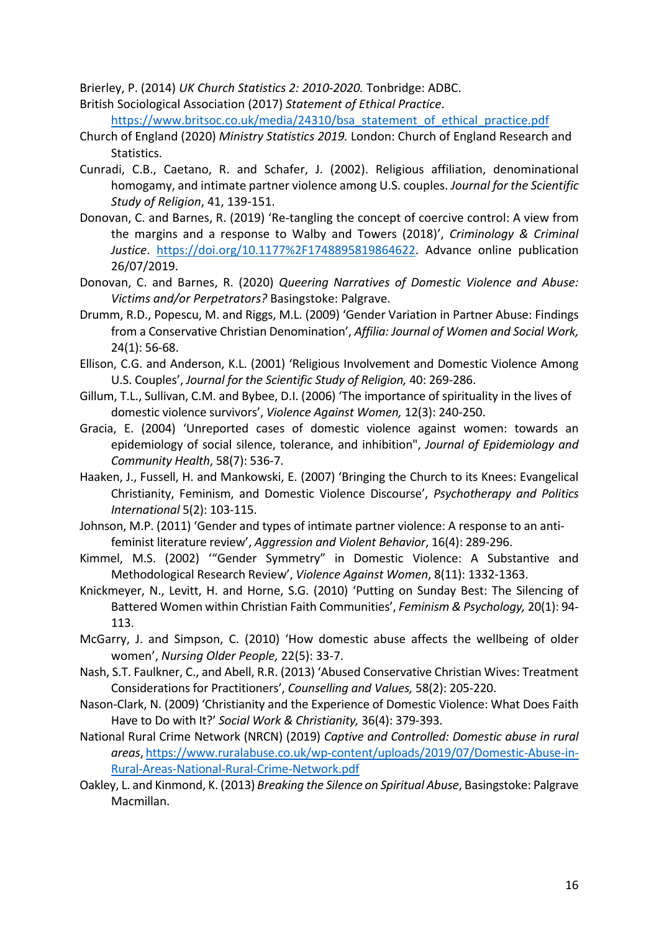Brierley, P. (2014) *UK Church Statistics 2: 2010-2020.* Tonbridge: ADBC.

British Sociological Association (2017) *Statement of Ethical Practice*.

[https://www.britsoc.co.uk/media/24310/bsa\\_statement\\_of\\_ethical\\_practice.pdf](https://www.britsoc.co.uk/media/24310/bsa_statement_of_ethical_practice.pdf)

- Church of England (2020) *Ministry Statistics 2019.* London: Church of England Research and Statistics.
- Cunradi, C.B., Caetano, R. and Schafer, J. (2002). Religious affiliation, denominational homogamy, and intimate partner violence among U.S. couples. *Journal for the Scientific Study of Religion*, 41, 139-151.
- Donovan, C. and Barnes, R. (2019) 'Re-tangling the concept of coercive control: A view from the margins and a response to Walby and Towers (2018)', *Criminology & Criminal Justice*. [https://doi.org/10.1177%2F1748895819864622.](https://doi.org/10.1177%2F1748895819864622) Advance online publication 26/07/2019.
- Donovan, C. and Barnes, R. (2020) *Queering Narratives of Domestic Violence and Abuse: Victims and/or Perpetrators?* Basingstoke: Palgrave.
- Drumm, R.D., Popescu, M. and Riggs, M.L. (2009) 'Gender Variation in Partner Abuse: Findings from a Conservative Christian Denomination', *Affilia: Journal of Women and Social Work,* 24(1): 56-68.
- Ellison, C.G. and Anderson, K.L. (2001) 'Religious Involvement and Domestic Violence Among U.S. Couples', *Journal for the Scientific Study of Religion,* 40: 269-286.
- Gillum, T.L., Sullivan, C.M. and Bybee, D.I. (2006) 'The importance of spirituality in the lives of domestic violence survivors', *Violence Against Women,* 12(3): 240-250.
- Gracia, E. (2004) 'Unreported cases of domestic violence against women: towards an epidemiology of social silence, tolerance, and inhibition", *Journal of Epidemiology and Community Health*, 58(7): 536-7.
- Haaken, J., Fussell, H. and Mankowski, E. (2007) 'Bringing the Church to its Knees: Evangelical Christianity, Feminism, and Domestic Violence Discourse', *Psychotherapy and Politics International* 5(2): 103-115.
- Johnson, M.P. (2011) 'Gender and types of intimate partner violence: A response to an antifeminist literature review', *Aggression and Violent Behavior*, 16(4): 289-296.
- Kimmel, M.S. (2002) '"Gender Symmetry" in Domestic Violence: A Substantive and Methodological Research Review', *Violence Against Women*, 8(11): 1332-1363.
- Knickmeyer, N., Levitt, H. and Horne, S.G. (2010) 'Putting on Sunday Best: The Silencing of Battered Women within Christian Faith Communities', *Feminism & Psychology,* 20(1): 94- 113.
- McGarry, J. and Simpson, C. (2010) 'How domestic abuse affects the wellbeing of older women', *Nursing Older People,* 22(5): 33-7.
- Nash, S.T. Faulkner, C., and Abell, R.R. (2013) 'Abused Conservative Christian Wives: Treatment Considerations for Practitioners', *Counselling and Values,* 58(2): 205-220.
- Nason-Clark, N. (2009) 'Christianity and the Experience of Domestic Violence: What Does Faith Have to Do with It?' *Social Work & Christianity,* 36(4): 379-393.
- National Rural Crime Network (NRCN) (2019) *Captive and Controlled: Domestic abuse in rural areas*[, https://www.ruralabuse.co.uk/wp-content/uploads/2019/07/Domestic-Abuse-in-](https://www.ruralabuse.co.uk/wp-content/uploads/2019/07/Domestic-Abuse-in-Rural-Areas-National-Rural-Crime-Network.pdf)[Rural-Areas-National-Rural-Crime-Network.pdf](https://www.ruralabuse.co.uk/wp-content/uploads/2019/07/Domestic-Abuse-in-Rural-Areas-National-Rural-Crime-Network.pdf)
- Oakley, L. and Kinmond, K. (2013) *Breaking the Silence on Spiritual Abuse*, Basingstoke: Palgrave Macmillan.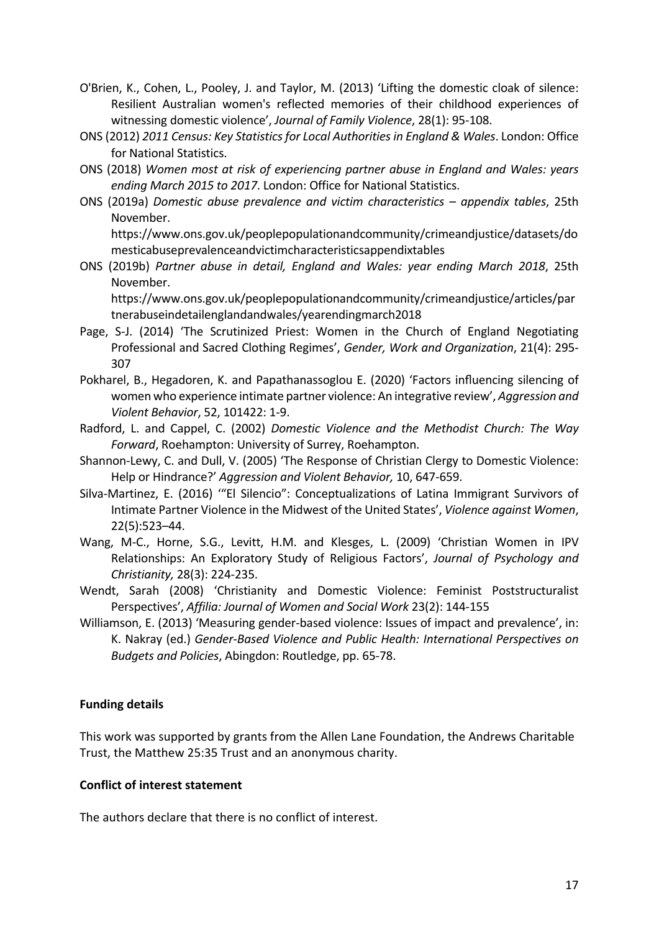- O'Brien, K., Cohen, L., Pooley, J. and Taylor, M. (2013) 'Lifting the domestic cloak of silence: Resilient Australian women's reflected memories of their childhood experiences of witnessing domestic violence', *Journal of Family Violence*, 28(1): 95-108.
- ONS (2012) *2011 Census: Key Statistics for Local Authorities in England & Wales*. London: Office for National Statistics.
- ONS (2018) *Women most at risk of experiencing partner abuse in England and Wales: years ending March 2015 to 2017*. London: Office for National Statistics.
- ONS (2019a) *Domestic abuse prevalence and victim characteristics – appendix tables*, 25th November.

[https://www.ons.gov.uk/peoplepopulationandcommunity/crimeandjustice/datasets/do](https://www.ons.gov.uk/peoplepopulationandcommunity/crimeandjustice/datasets/domesticabuseprevalenceandvictimcharacteristicsappendixtables) [mesticabuseprevalenceandvictimcharacteristicsappendixtables](https://www.ons.gov.uk/peoplepopulationandcommunity/crimeandjustice/datasets/domesticabuseprevalenceandvictimcharacteristicsappendixtables)

ONS (2019b) *Partner abuse in detail, England and Wales: year ending March 2018*, 25th November.

[https://www.ons.gov.uk/peoplepopulationandcommunity/crimeandjustice/articles/par](https://www.ons.gov.uk/peoplepopulationandcommunity/crimeandjustice/articles/partnerabuseindetailenglandandwales/yearendingmarch2018) [tnerabuseindetailenglandandwales/yearendingmarch2018](https://www.ons.gov.uk/peoplepopulationandcommunity/crimeandjustice/articles/partnerabuseindetailenglandandwales/yearendingmarch2018)

- Page, S-J. (2014) 'The Scrutinized Priest: Women in the Church of England Negotiating Professional and Sacred Clothing Regimes', *Gender, Work and Organization*, 21(4): 295- 307
- Pokharel, B., Hegadoren, K. and Papathanassoglou E. (2020) 'Factors influencing silencing of women who experience intimate partner violence: An integrative review', *Aggression and Violent Behavior*, 52, 101422: 1-9.
- Radford, L. and Cappel, C. (2002) *Domestic Violence and the Methodist Church: The Way Forward*, Roehampton: University of Surrey, Roehampton.
- Shannon-Lewy, C. and Dull, V. (2005) 'The Response of Christian Clergy to Domestic Violence: Help or Hindrance?' *Aggression and Violent Behavior,* 10, 647-659.
- Silva-Martinez, E. (2016) '"El Silencio": Conceptualizations of Latina Immigrant Survivors of Intimate Partner Violence in the Midwest of the United States', *Violence against Women*, 22(5):523–44.
- Wang, M-C., Horne, S.G., Levitt, H.M. and Klesges, L. (2009) 'Christian Women in IPV Relationships: An Exploratory Study of Religious Factors', *Journal of Psychology and Christianity,* 28(3): 224-235.
- Wendt, Sarah (2008) 'Christianity and Domestic Violence: Feminist Poststructuralist Perspectives', *Affilia: Journal of Women and Social Work* 23(2): 144-155
- Williamson, E. (2013) 'Measuring gender-based violence: Issues of impact and prevalence', in: K. Nakray (ed.) *Gender-Based Violence and Public Health: International Perspectives on Budgets and Policies*, Abingdon: Routledge, pp. 65-78.

## **Funding details**

This work was supported by grants from the Allen Lane Foundation, the Andrews Charitable Trust, the Matthew 25:35 Trust and an anonymous charity.

#### **Conflict of interest statement**

The authors declare that there is no conflict of interest.